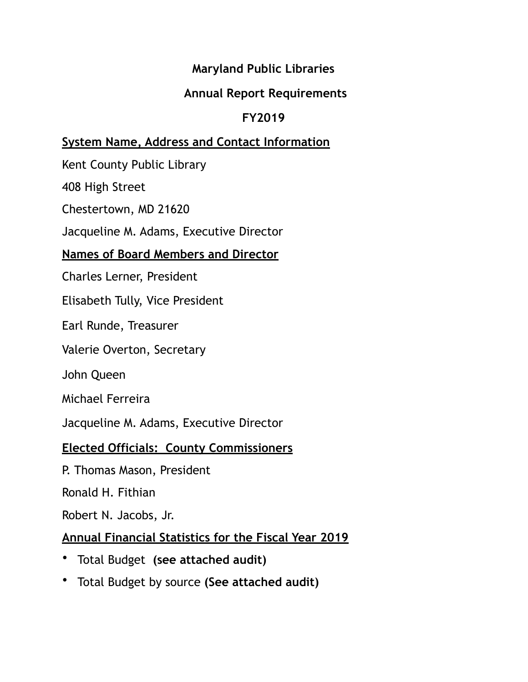## **Maryland Public Libraries**

## **Annual Report Requirements**

## **FY2019**

## **System Name, Address and Contact Information**

Kent County Public Library

408 High Street

Chestertown, MD 21620

Jacqueline M. Adams, Executive Director

#### **Names of Board Members and Director**

Charles Lerner, President

Elisabeth Tully, Vice President

Earl Runde, Treasurer

Valerie Overton, Secretary

John Queen

Michael Ferreira

Jacqueline M. Adams, Executive Director

#### **Elected Officials: County Commissioners**

P. Thomas Mason, President

Ronald H. Fithian

Robert N. Jacobs, Jr.

# **Annual Financial Statistics for the Fiscal Year 2019**

- Total Budget **(see attached audit)**
- Total Budget by source **(See attached audit)**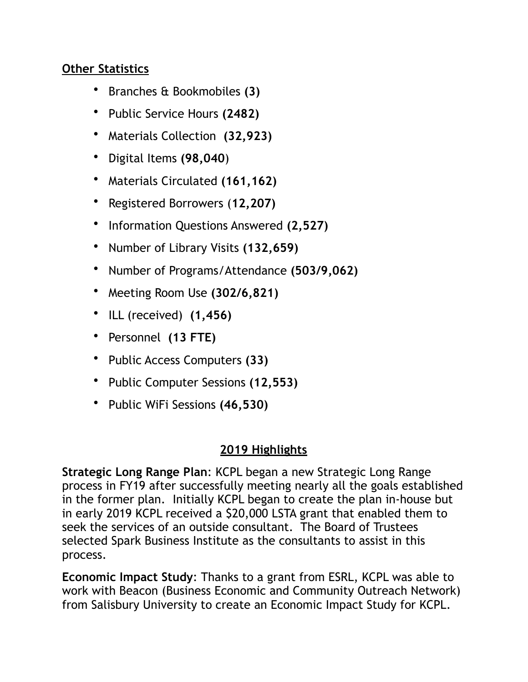#### **Other Statistics**

- Branches & Bookmobiles **(3)**
- Public Service Hours **(2482)**
- Materials Collection **(32,923)**
- Digital Items **(98,040**)
- Materials Circulated **(161,162)**
- Registered Borrowers (**12,207)**
- Information Questions Answered **(2,527)**
- Number of Library Visits **(132,659)**
- Number of Programs/Attendance **(503/9,062)**
- Meeting Room Use **(302/6,821)**
- ILL (received) **(1,456)**
- Personnel **(13 FTE)**
- Public Access Computers **(33)**
- Public Computer Sessions **(12,553)**
- Public WiFi Sessions **(46,530)**

#### **2019 Highlights**

**Strategic Long Range Plan**: KCPL began a new Strategic Long Range process in FY19 after successfully meeting nearly all the goals established in the former plan. Initially KCPL began to create the plan in-house but in early 2019 KCPL received a \$20,000 LSTA grant that enabled them to seek the services of an outside consultant. The Board of Trustees selected Spark Business Institute as the consultants to assist in this process.

**Economic Impact Study**: Thanks to a grant from ESRL, KCPL was able to work with Beacon (Business Economic and Community Outreach Network) from Salisbury University to create an Economic Impact Study for KCPL.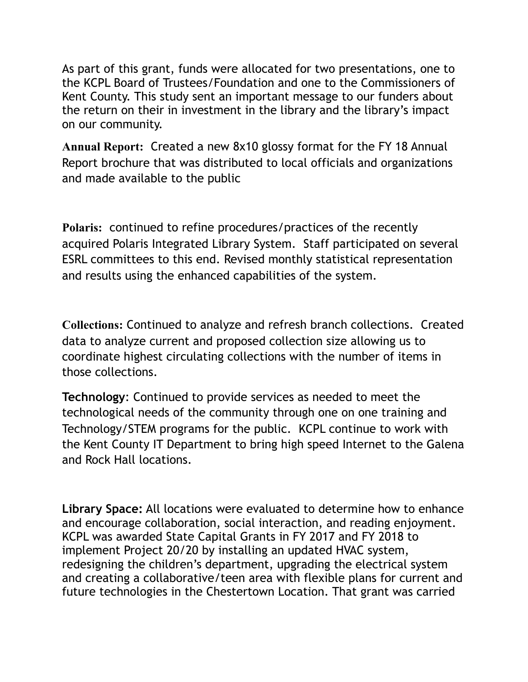As part of this grant, funds were allocated for two presentations, one to the KCPL Board of Trustees/Foundation and one to the Commissioners of Kent County. This study sent an important message to our funders about the return on their in investment in the library and the library's impact on our community.

**Annual Report:** Created a new 8x10 glossy format for the FY 18 Annual Report brochure that was distributed to local officials and organizations and made available to the public

**Polaris:** continued to refine procedures/practices of the recently acquired Polaris Integrated Library System. Staff participated on several ESRL committees to this end. Revised monthly statistical representation and results using the enhanced capabilities of the system.

**Collections:** Continued to analyze and refresh branch collections. Created data to analyze current and proposed collection size allowing us to coordinate highest circulating collections with the number of items in those collections.

**Technology**: Continued to provide services as needed to meet the technological needs of the community through one on one training and Technology/STEM programs for the public. KCPL continue to work with the Kent County IT Department to bring high speed Internet to the Galena and Rock Hall locations.

**Library Space:** All locations were evaluated to determine how to enhance and encourage collaboration, social interaction, and reading enjoyment. KCPL was awarded State Capital Grants in FY 2017 and FY 2018 to implement Project 20/20 by installing an updated HVAC system, redesigning the children's department, upgrading the electrical system and creating a collaborative/teen area with flexible plans for current and future technologies in the Chestertown Location. That grant was carried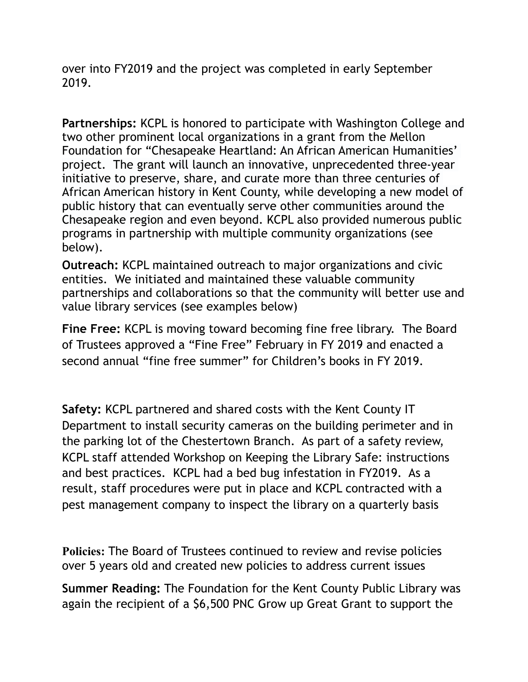over into FY2019 and the project was completed in early September 2019.

**Partnerships:** KCPL is honored to participate with Washington College and two other prominent local organizations in a grant from the Mellon Foundation for "Chesapeake Heartland: An African American Humanities' project. The grant will launch an innovative, unprecedented three-year initiative to preserve, share, and curate more than three centuries of African American history in Kent County, while developing a new model of public history that can eventually serve other communities around the Chesapeake region and even beyond. KCPL also provided numerous public programs in partnership with multiple community organizations (see below).

**Outreach:** KCPL maintained outreach to major organizations and civic entities. We initiated and maintained these valuable community partnerships and collaborations so that the community will better use and value library services (see examples below)

**Fine Free:** KCPL is moving toward becoming fine free library. The Board of Trustees approved a "Fine Free" February in FY 2019 and enacted a second annual "fine free summer" for Children's books in FY 2019.

**Safety:** KCPL partnered and shared costs with the Kent County IT Department to install security cameras on the building perimeter and in the parking lot of the Chestertown Branch. As part of a safety review, KCPL staff attended Workshop on Keeping the Library Safe: instructions and best practices. KCPL had a bed bug infestation in FY2019. As a result, staff procedures were put in place and KCPL contracted with a pest management company to inspect the library on a quarterly basis

**Policies:** The Board of Trustees continued to review and revise policies over 5 years old and created new policies to address current issues

**Summer Reading:** The Foundation for the Kent County Public Library was again the recipient of a \$6,500 PNC Grow up Great Grant to support the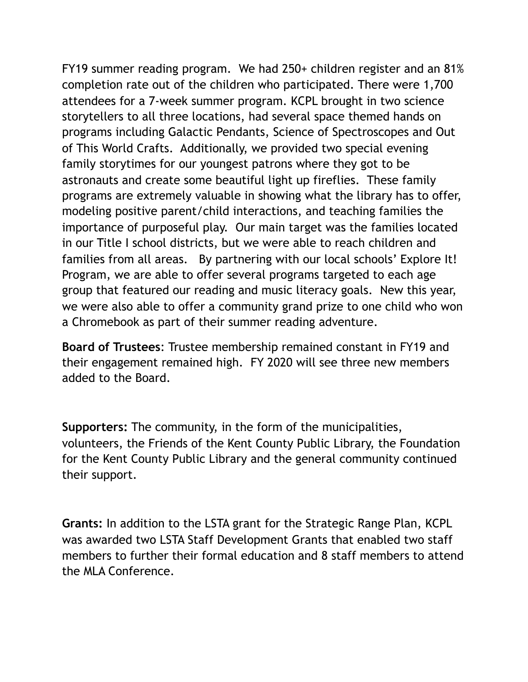FY19 summer reading program. We had 250+ children register and an 81% completion rate out of the children who participated. There were 1,700 attendees for a 7-week summer program. KCPL brought in two science storytellers to all three locations, had several space themed hands on programs including Galactic Pendants, Science of Spectroscopes and Out of This World Crafts. Additionally, we provided two special evening family storytimes for our youngest patrons where they got to be astronauts and create some beautiful light up fireflies. These family programs are extremely valuable in showing what the library has to offer, modeling positive parent/child interactions, and teaching families the importance of purposeful play. Our main target was the families located in our Title I school districts, but we were able to reach children and families from all areas. By partnering with our local schools' Explore It! Program, we are able to offer several programs targeted to each age group that featured our reading and music literacy goals. New this year, we were also able to offer a community grand prize to one child who won a Chromebook as part of their summer reading adventure.

**Board of Trustees**: Trustee membership remained constant in FY19 and their engagement remained high. FY 2020 will see three new members added to the Board.

**Supporters:** The community, in the form of the municipalities, volunteers, the Friends of the Kent County Public Library, the Foundation for the Kent County Public Library and the general community continued their support.

**Grants:** In addition to the LSTA grant for the Strategic Range Plan, KCPL was awarded two LSTA Staff Development Grants that enabled two staff members to further their formal education and 8 staff members to attend the MLA Conference.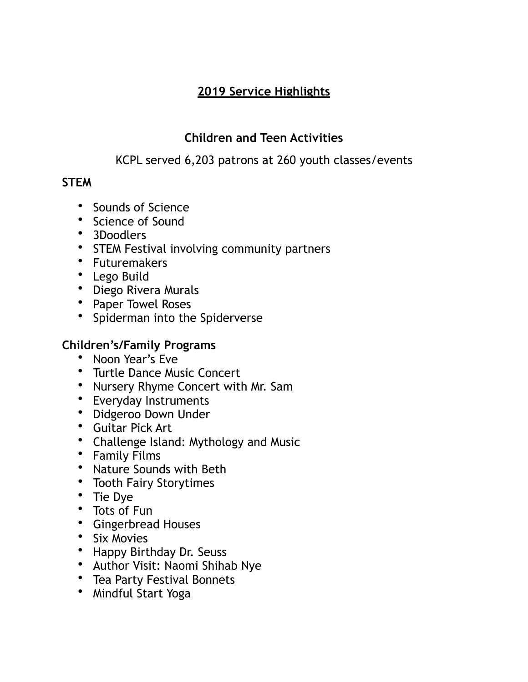# **2019 Service Highlights**

# **Children and Teen Activities**

# KCPL served 6,203 patrons at 260 youth classes/events

## **STEM**

- Sounds of Science
- Science of Sound
- 3Doodlers
- STEM Festival involving community partners
- Futuremakers
- Lego Build
- Diego Rivera Murals
- Paper Towel Roses
- Spiderman into the Spiderverse

# **Children's/Family Programs**

- Noon Year's Eve
- Turtle Dance Music Concert
- Nursery Rhyme Concert with Mr. Sam
- Everyday Instruments
- Didgeroo Down Under
- Guitar Pick Art
- Challenge Island: Mythology and Music
- Family Films
- Nature Sounds with Beth
- Tooth Fairy Storytimes
- Tie Dye
- Tots of Fun
- Gingerbread Houses
- Six Movies
- Happy Birthday Dr. Seuss
- Author Visit: Naomi Shihab Nye
- Tea Party Festival Bonnets
- Mindful Start Yoga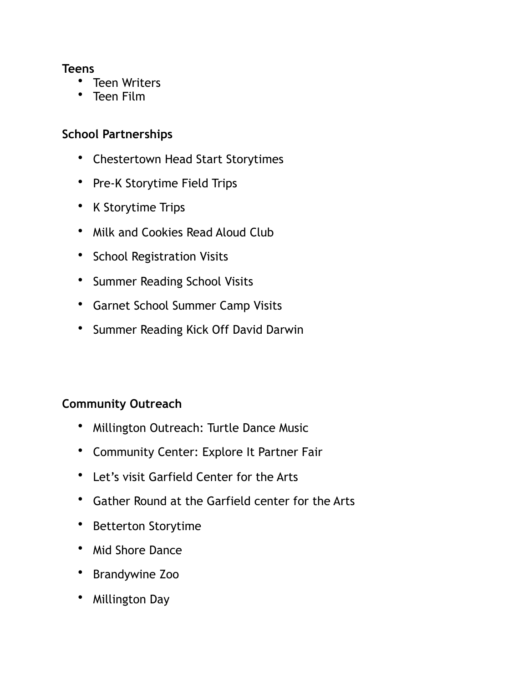#### **Teens**

- Teen Writers
- Teen Film

### **School Partnerships**

- Chestertown Head Start Storytimes
- Pre-K Storytime Field Trips
- K Storytime Trips
- Milk and Cookies Read Aloud Club
- School Registration Visits
- Summer Reading School Visits
- Garnet School Summer Camp Visits
- Summer Reading Kick Off David Darwin

# **Community Outreach**

- Millington Outreach: Turtle Dance Music
- Community Center: Explore It Partner Fair
- Let's visit Garfield Center for the Arts
- Gather Round at the Garfield center for the Arts
- Betterton Storytime
- Mid Shore Dance
- Brandywine Zoo
- Millington Day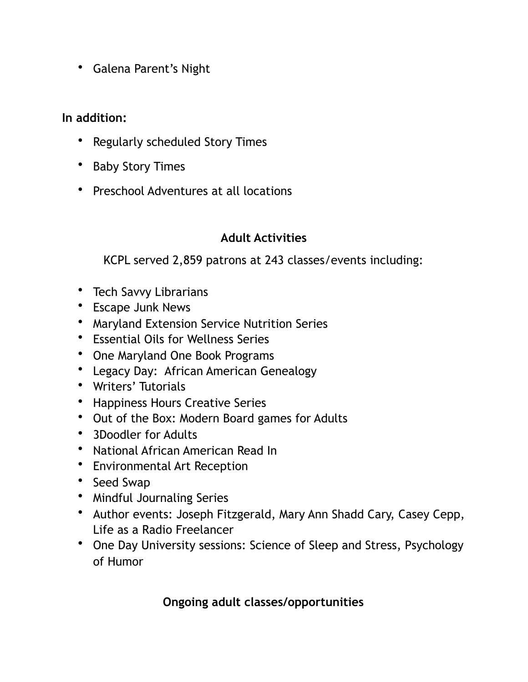• Galena Parent's Night

### **In addition:**

- Regularly scheduled Story Times
- Baby Story Times
- Preschool Adventures at all locations

# **Adult Activities**

KCPL served 2,859 patrons at 243 classes/events including:

- Tech Savvy Librarians
- Escape Junk News
- Maryland Extension Service Nutrition Series
- Essential Oils for Wellness Series
- One Maryland One Book Programs
- Legacy Day: African American Genealogy
- Writers' Tutorials
- Happiness Hours Creative Series
- Out of the Box: Modern Board games for Adults
- 3Doodler for Adults
- National African American Read In
- Environmental Art Reception
- Seed Swap
- Mindful Journaling Series
- Author events: Joseph Fitzgerald, Mary Ann Shadd Cary, Casey Cepp, Life as a Radio Freelancer
- One Day University sessions: Science of Sleep and Stress, Psychology of Humor

# **Ongoing adult classes/opportunities**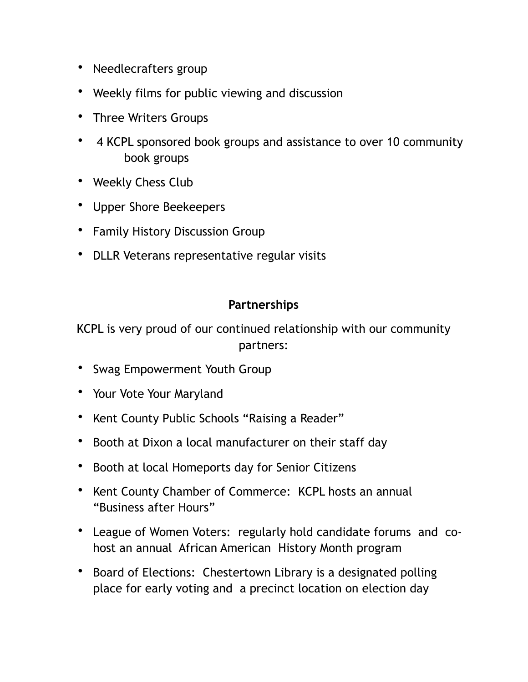- Needlecrafters group
- Weekly films for public viewing and discussion
- Three Writers Groups
- 4 KCPL sponsored book groups and assistance to over 10 community book groups
- Weekly Chess Club
- Upper Shore Beekeepers
- Family History Discussion Group
- DLLR Veterans representative regular visits

## **Partnerships**

KCPL is very proud of our continued relationship with our community partners:

- Swag Empowerment Youth Group
- Your Vote Your Maryland
- Kent County Public Schools "Raising a Reader"
- Booth at Dixon a local manufacturer on their staff day
- Booth at local Homeports day for Senior Citizens
- Kent County Chamber of Commerce: KCPL hosts an annual "Business after Hours"
- League of Women Voters: regularly hold candidate forums and cohost an annual African American History Month program
- Board of Elections: Chestertown Library is a designated polling place for early voting and a precinct location on election day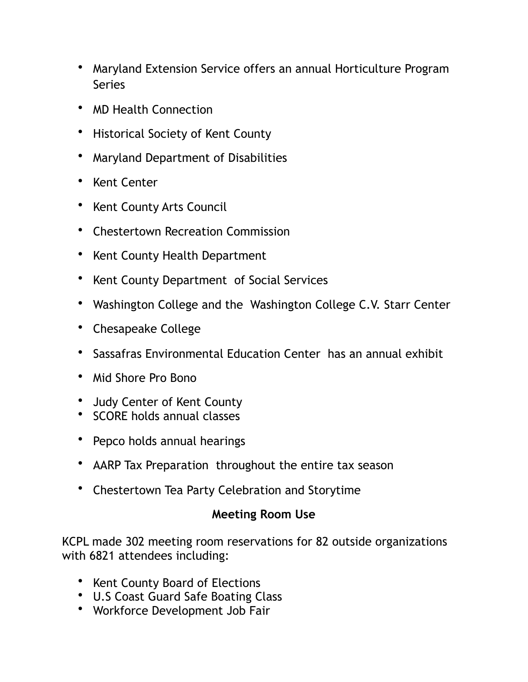- Maryland Extension Service offers an annual Horticulture Program Series
- MD Health Connection
- Historical Society of Kent County
- Maryland Department of Disabilities
- Kent Center
- Kent County Arts Council
- Chestertown Recreation Commission
- Kent County Health Department
- Kent County Department of Social Services
- Washington College and the Washington College C.V. Starr Center
- Chesapeake College
- Sassafras Environmental Education Center has an annual exhibit
- Mid Shore Pro Bono
- Judy Center of Kent County
- SCORE holds annual classes
- Pepco holds annual hearings
- AARP Tax Preparation throughout the entire tax season
- Chestertown Tea Party Celebration and Storytime

#### **Meeting Room Use**

KCPL made 302 meeting room reservations for 82 outside organizations with 6821 attendees including:

- Kent County Board of Elections
- U.S Coast Guard Safe Boating Class
- Workforce Development Job Fair